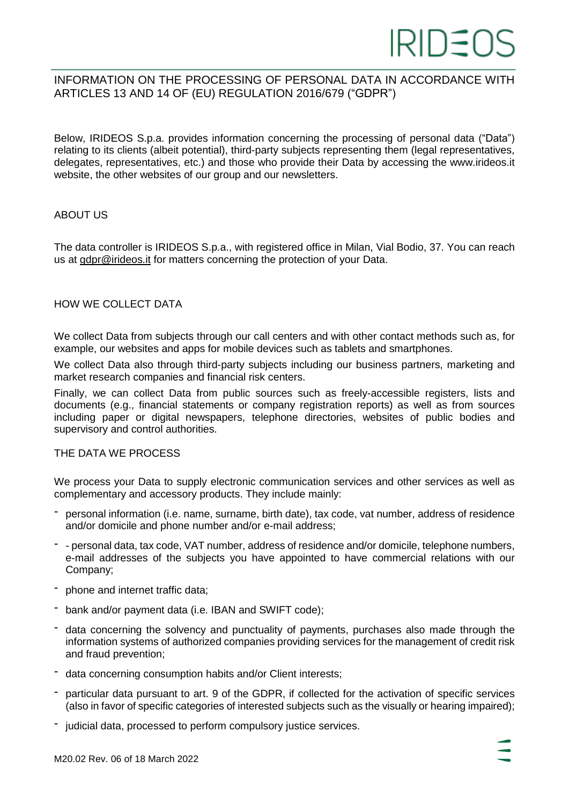# INFORMATION ON THE PROCESSING OF PERSONAL DATA IN ACCORDANCE WITH ARTICLES 13 AND 14 OF (EU) REGULATION 2016/679 ("GDPR")

Below, IRIDEOS S.p.a. provides information concerning the processing of personal data ("Data") relating to its clients (albeit potential), third-party subjects representing them (legal representatives, delegates, representatives, etc.) and those who provide their Data by accessing the www.irideos.it website, the other websites of our group and our newsletters.

# ABOUT US

The data controller is IRIDEOS S.p.a., with registered office in Milan, Vial Bodio, 37. You can reach us at [gdpr@irideos.it](mailto:gdpr@irideos.it) for matters concerning the protection of your Data.

#### HOW WE COLLECT DATA

We collect Data from subjects through our call centers and with other contact methods such as, for example, our websites and apps for mobile devices such as tablets and smartphones.

We collect Data also through third-party subjects including our business partners, marketing and market research companies and financial risk centers.

Finally, we can collect Data from public sources such as freely-accessible registers, lists and documents (e.g., financial statements or company registration reports) as well as from sources including paper or digital newspapers, telephone directories, websites of public bodies and supervisory and control authorities.

#### THE DATA WE PROCESS

We process your Data to supply electronic communication services and other services as well as complementary and accessory products. They include mainly:

- personal information (i.e. name, surname, birth date), tax code, vat number, address of residence and/or domicile and phone number and/or e-mail address;
- - personal data, tax code, VAT number, address of residence and/or domicile, telephone numbers, e-mail addresses of the subjects you have appointed to have commercial relations with our Company;
- phone and internet traffic data;
- bank and/or payment data (i.e. IBAN and SWIFT code);
- data concerning the solvency and punctuality of payments, purchases also made through the information systems of authorized companies providing services for the management of credit risk and fraud prevention;
- data concerning consumption habits and/or Client interests;
- particular data pursuant to art. 9 of the GDPR, if collected for the activation of specific services (also in favor of specific categories of interested subjects such as the visually or hearing impaired);
- judicial data, processed to perform compulsory justice services.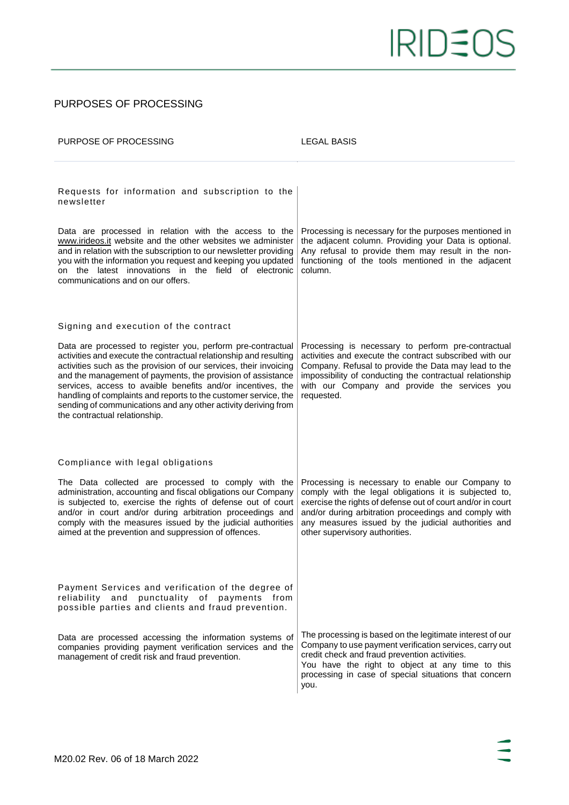#### PURPOSES OF PROCESSING

| PURPOSE OF PROCESSING                                                                                                                                                                                                                                                                                                                                                                                                                                                                                                                              | <b>LEGAL BASIS</b>                                                                                                                                                                                                                                                                                                         |
|----------------------------------------------------------------------------------------------------------------------------------------------------------------------------------------------------------------------------------------------------------------------------------------------------------------------------------------------------------------------------------------------------------------------------------------------------------------------------------------------------------------------------------------------------|----------------------------------------------------------------------------------------------------------------------------------------------------------------------------------------------------------------------------------------------------------------------------------------------------------------------------|
| Requests for information and subscription to the<br>newsletter<br>Data are processed in relation with the access to the<br>www.irideos.it website and the other websites we administer<br>and in relation with the subscription to our newsletter providing<br>you with the information you request and keeping you updated<br>on the latest innovations in the field of electronic<br>communications and on our offers.                                                                                                                           | Processing is necessary for the purposes mentioned in<br>the adjacent column. Providing your Data is optional.<br>Any refusal to provide them may result in the non-<br>functioning of the tools mentioned in the adjacent<br>column.                                                                                      |
| Signing and execution of the contract<br>Data are processed to register you, perform pre-contractual<br>activities and execute the contractual relationship and resulting<br>activities such as the provision of our services, their invoicing<br>and the management of payments, the provision of assistance<br>services, access to avaible benefits and/or incentives, the<br>handling of complaints and reports to the customer service, the<br>sending of communications and any other activity deriving from<br>the contractual relationship. | Processing is necessary to perform pre-contractual<br>activities and execute the contract subscribed with our<br>Company. Refusal to provide the Data may lead to the<br>impossibility of conducting the contractual relationship<br>with our Company and provide the services you<br>requested.                           |
| Compliance with legal obligations<br>The Data collected are processed to comply with the<br>administration, accounting and fiscal obligations our Company<br>is subjected to, exercise the rights of defense out of court<br>and/or in court and/or during arbitration proceedings and<br>comply with the measures issued by the judicial authorities<br>aimed at the prevention and suppression of offences.                                                                                                                                      | Processing is necessary to enable our Company to<br>comply with the legal obligations it is subjected to,<br>exercise the rights of defense out of court and/or in court<br>and/or during arbitration proceedings and comply with<br>any measures issued by the judicial authorities and<br>other supervisory authorities. |
| Payment Services and verification of the degree of<br>punctuality of payments<br>reliability<br>and<br>from<br>possible parties and clients and fraud prevention.<br>Data are processed accessing the information systems of<br>companies providing payment verification services and the<br>management of credit risk and fraud prevention.                                                                                                                                                                                                       | The processing is based on the legitimate interest of our<br>Company to use payment verification services, carry out<br>credit check and fraud prevention activities.<br>You have the right to object at any time to this<br>processing in case of special situations that concern<br>you.                                 |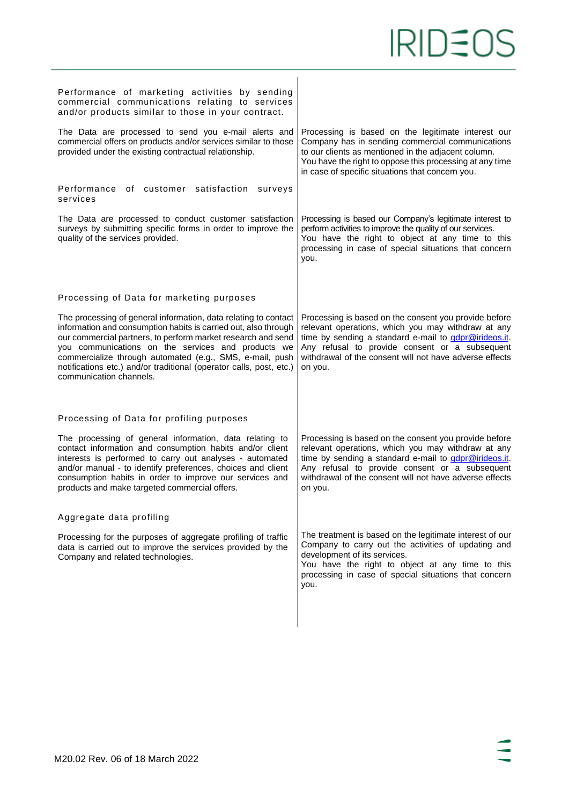| Performance of marketing activities by sending<br>commercial communications relating to services<br>and/or products similar to those in your contract.                                                                                                                                                                                                                                                                 |                                                                                                                                                                                                                                                                                              |
|------------------------------------------------------------------------------------------------------------------------------------------------------------------------------------------------------------------------------------------------------------------------------------------------------------------------------------------------------------------------------------------------------------------------|----------------------------------------------------------------------------------------------------------------------------------------------------------------------------------------------------------------------------------------------------------------------------------------------|
| The Data are processed to send you e-mail alerts and<br>commercial offers on products and/or services similar to those<br>provided under the existing contractual relationship.                                                                                                                                                                                                                                        | Processing is based on the legitimate interest our<br>Company has in sending commercial communications<br>to our clients as mentioned in the adjacent column.<br>You have the right to oppose this processing at any time<br>in case of specific situations that concern you.                |
| Performance of customer satisfaction<br>surveys<br>services                                                                                                                                                                                                                                                                                                                                                            |                                                                                                                                                                                                                                                                                              |
| The Data are processed to conduct customer satisfaction<br>surveys by submitting specific forms in order to improve the<br>quality of the services provided.                                                                                                                                                                                                                                                           | Processing is based our Company's legitimate interest to<br>perform activities to improve the quality of our services.<br>You have the right to object at any time to this<br>processing in case of special situations that concern<br>you.                                                  |
| Processing of Data for marketing purposes                                                                                                                                                                                                                                                                                                                                                                              |                                                                                                                                                                                                                                                                                              |
| The processing of general information, data relating to contact<br>information and consumption habits is carried out, also through<br>our commercial partners, to perform market research and send<br>you communications on the services and products we<br>commercialize through automated (e.g., SMS, e-mail, push<br>notifications etc.) and/or traditional (operator calls, post, etc.)<br>communication channels. | Processing is based on the consent you provide before<br>relevant operations, which you may withdraw at any<br>time by sending a standard e-mail to gdpr@irideos.it.<br>Any refusal to provide consent or a subsequent<br>withdrawal of the consent will not have adverse effects<br>on you. |
| Processing of Data for profiling purposes                                                                                                                                                                                                                                                                                                                                                                              |                                                                                                                                                                                                                                                                                              |
| The processing of general information, data relating to<br>contact information and consumption habits and/or client<br>interests is performed to carry out analyses - automated<br>and/or manual - to identify preferences, choices and client<br>consumption habits in order to improve our services and<br>products and make targeted commercial offers.                                                             | Processing is based on the consent you provide before<br>relevant operations, which you may withdraw at any<br>time by sending a standard e-mail to gdpr@irideos.it.<br>Any refusal to provide consent or a subsequent<br>withdrawal of the consent will not have adverse effects<br>on you. |
| Aggregate data profiling                                                                                                                                                                                                                                                                                                                                                                                               |                                                                                                                                                                                                                                                                                              |
| Processing for the purposes of aggregate profiling of traffic<br>data is carried out to improve the services provided by the<br>Company and related technologies.                                                                                                                                                                                                                                                      | The treatment is based on the legitimate interest of our<br>Company to carry out the activities of updating and<br>development of its services.<br>You have the right to object at any time to this<br>processing in case of special situations that concern<br>you.                         |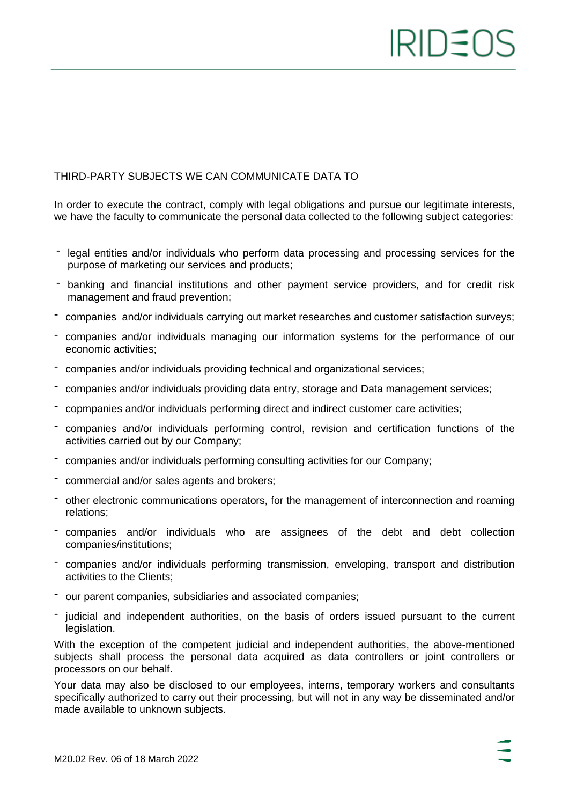# IRID≦C

## THIRD-PARTY SUBJECTS WE CAN COMMUNICATE DATA TO

In order to execute the contract, comply with legal obligations and pursue our legitimate interests, we have the faculty to communicate the personal data collected to the following subject categories:

- legal entities and/or individuals who perform data processing and processing services for the purpose of marketing our services and products;
- banking and financial institutions and other payment service providers, and for credit risk management and fraud prevention;
- companies and/or individuals carrying out market researches and customer satisfaction surveys;
- companies and/or individuals managing our information systems for the performance of our economic activities;
- companies and/or individuals providing technical and organizational services;
- companies and/or individuals providing data entry, storage and Data management services;
- copmpanies and/or individuals performing direct and indirect customer care activities;
- companies and/or individuals performing control, revision and certification functions of the activities carried out by our Company;
- companies and/or individuals performing consulting activities for our Company;
- commercial and/or sales agents and brokers;
- other electronic communications operators, for the management of interconnection and roaming relations;
- companies and/or individuals who are assignees of the debt and debt collection companies/institutions;
- companies and/or individuals performing transmission, enveloping, transport and distribution activities to the Clients;
- our parent companies, subsidiaries and associated companies;
- judicial and independent authorities, on the basis of orders issued pursuant to the current legislation.

With the exception of the competent judicial and independent authorities, the above-mentioned subjects shall process the personal data acquired as data controllers or joint controllers or processors on our behalf.

Your data may also be disclosed to our employees, interns, temporary workers and consultants specifically authorized to carry out their processing, but will not in any way be disseminated and/or made available to unknown subjects.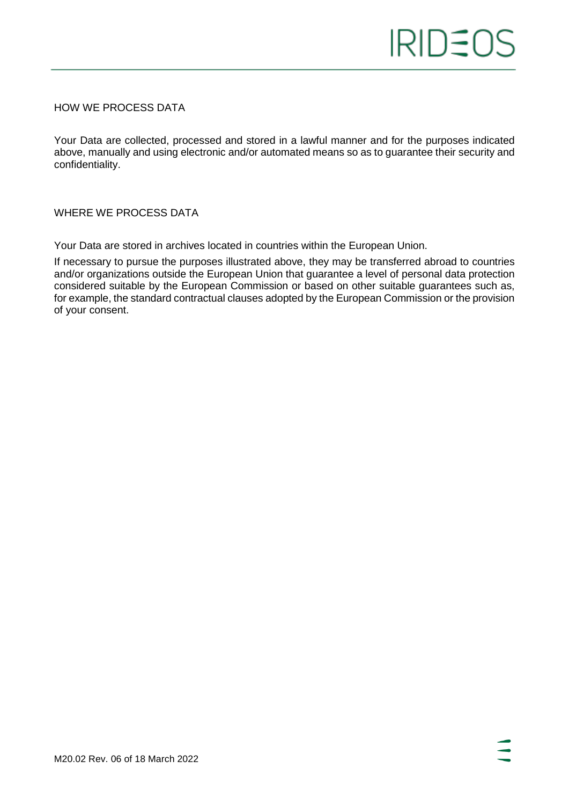#### HOW WE PROCESS DATA

Your Data are collected, processed and stored in a lawful manner and for the purposes indicated above, manually and using electronic and/or automated means so as to guarantee their security and confidentiality.

WHERE WE PROCESS DATA

Your Data are stored in archives located in countries within the European Union.

If necessary to pursue the purposes illustrated above, they may be transferred abroad to countries and/or organizations outside the European Union that guarantee a level of personal data protection considered suitable by the European Commission or based on other suitable guarantees such as, for example, the standard contractual clauses adopted by the European Commission or the provision of your consent.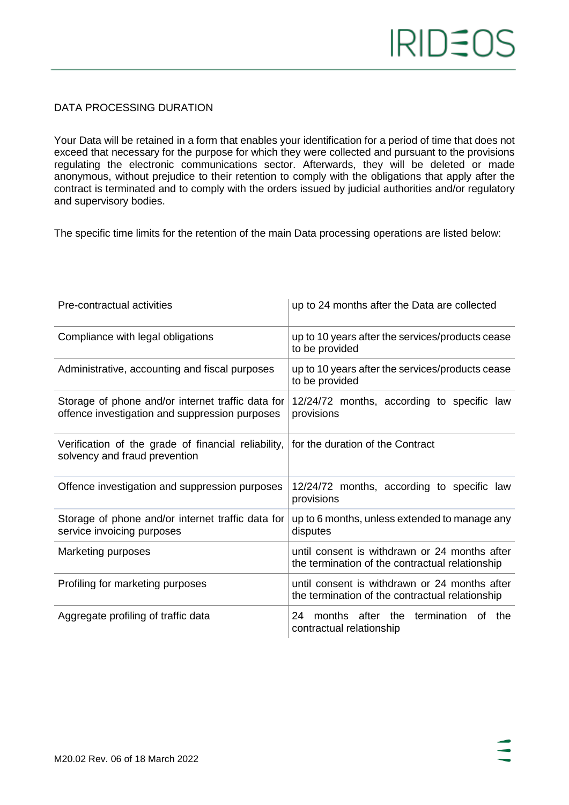# DATA PROCESSING DURATION

Your Data will be retained in a form that enables your identification for a period of time that does not exceed that necessary for the purpose for which they were collected and pursuant to the provisions regulating the electronic communications sector. Afterwards, they will be deleted or made anonymous, without prejudice to their retention to comply with the obligations that apply after the contract is terminated and to comply with the orders issued by judicial authorities and/or regulatory and supervisory bodies.

The specific time limits for the retention of the main Data processing operations are listed below:

| Pre-contractual activities                                                                          | up to 24 months after the Data are collected                                                     |
|-----------------------------------------------------------------------------------------------------|--------------------------------------------------------------------------------------------------|
| Compliance with legal obligations                                                                   | up to 10 years after the services/products cease<br>to be provided                               |
| Administrative, accounting and fiscal purposes                                                      | up to 10 years after the services/products cease<br>to be provided                               |
| Storage of phone and/or internet traffic data for<br>offence investigation and suppression purposes | 12/24/72 months, according to specific law<br>provisions                                         |
| Verification of the grade of financial reliability,<br>solvency and fraud prevention                | for the duration of the Contract                                                                 |
| Offence investigation and suppression purposes                                                      | 12/24/72 months, according to specific law<br>provisions                                         |
| Storage of phone and/or internet traffic data for<br>service invoicing purposes                     | up to 6 months, unless extended to manage any<br>disputes                                        |
| Marketing purposes                                                                                  | until consent is withdrawn or 24 months after<br>the termination of the contractual relationship |
| Profiling for marketing purposes                                                                    | until consent is withdrawn or 24 months after<br>the termination of the contractual relationship |
| Aggregate profiling of traffic data                                                                 | months after the<br>termination of<br>24<br>the<br>contractual relationship                      |